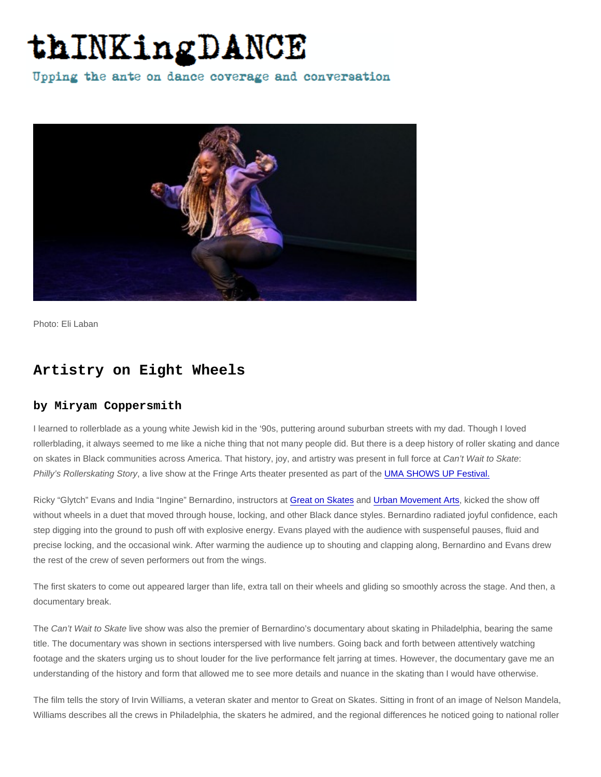Photo: Eli Laban

## Artistry on Eight Wheels

## by Miryam Coppersmith

I learned to rollerblade as a young white Jewish kid in the '90s, puttering around suburban streets with my dad. Though I loved rollerblading, it always seemed to me like a niche thing that not many people did. But there is a deep history of roller skating and dance on skates in Black communities across America. That history, joy, and artistry was present in full force at Can't Wait to Skate: Philly's Rollerskating Story, a live show at the Fringe Arts theater presented as part of the [UMA SHOWS UP Festival.](https://www.urbanmovementarts.com/uma-shows-up.html)

Ricky "Glytch" Evans and India "Ingine" Bernardino, instructors at [Great on Skates](https://www.greatonskates.com/) and [Urban Movement Arts](https://www.urbanmovementarts.com/), kicked the show off without wheels in a duet that moved through house, locking, and other Black dance styles. Bernardino radiated joyful confidence, each step digging into the ground to push off with explosive energy. Evans played with the audience with suspenseful pauses, fluid and precise locking, and the occasional wink. After warming the audience up to shouting and clapping along, Bernardino and Evans drew the rest of the crew of seven performers out from the wings.

The first skaters to come out appeared larger than life, extra tall on their wheels and gliding so smoothly across the stage. And then, a documentary break.

The Can't Wait to Skate live show was also the premier of Bernardino's documentary about skating in Philadelphia, bearing the same title. The documentary was shown in sections interspersed with live numbers. Going back and forth between attentively watching footage and the skaters urging us to shout louder for the live performance felt jarring at times. However, the documentary gave me an understanding of the history and form that allowed me to see more details and nuance in the skating than I would have otherwise.

The film tells the story of Irvin Williams, a veteran skater and mentor to Great on Skates. Sitting in front of an image of Nelson Mandela, Williams describes all the crews in Philadelphia, the skaters he admired, and the regional differences he noticed going to national roller